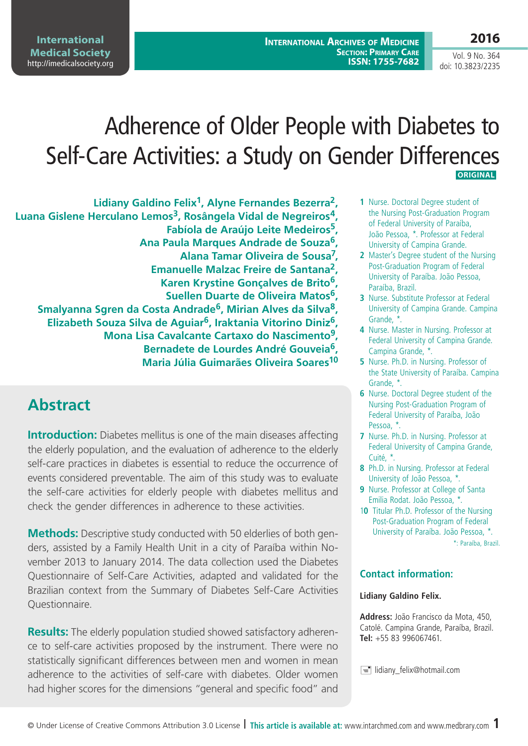**2016**

Vol. 9 No. 364 doi: 10.3823/2235

# Adherence of Older People with Diabetes to Self-Care Activities: a Study on Gender Differences  **ORIGINAL**

**Lidiany Galdino Felix1, Alyne Fernandes Bezerra2, Luana Gislene Herculano Lemos3, Rosângela Vidal de Negreiros4, Fabíola de Araújo Leite Medeiros5, Ana Paula Marques Andrade de Souza6, Alana Tamar Oliveira de Sousa7, Emanuelle Malzac Freire de Santana2, Karen Krystine Gonçalves de Brito6, Suellen Duarte de Oliveira Matos6, Smalyanna Sgren da Costa Andrade6, Mirian Alves da Silva8, Elizabeth Souza Silva de Aguiar6, Iraktania Vitorino Diniz6, Mona Lisa Cavalcante Cartaxo do Nascimento9, Bernadete de Lourdes André Gouveia6, Maria Júlia Guimarães Oliveira Soares10**

## **Abstract**

**Introduction:** Diabetes mellitus is one of the main diseases affecting the elderly population, and the evaluation of adherence to the elderly self-care practices in diabetes is essential to reduce the occurrence of events considered preventable. The aim of this study was to evaluate the self-care activities for elderly people with diabetes mellitus and check the gender differences in adherence to these activities.

**Methods:** Descriptive study conducted with 50 elderlies of both genders, assisted by a Family Health Unit in a city of Paraíba within November 2013 to January 2014. The data collection used the Diabetes Questionnaire of Self-Care Activities, adapted and validated for the Brazilian context from the Summary of Diabetes Self-Care Activities Questionnaire.

**Results:** The elderly population studied showed satisfactory adherence to self-care activities proposed by the instrument. There were no statistically significant differences between men and women in mean adherence to the activities of self-care with diabetes. Older women had higher scores for the dimensions "general and specific food" and

- **1** Nurse. Doctoral Degree student of the Nursing Post-Graduation Program of Federal University of Paraíba, João Pessoa, \*. Professor at Federal University of Campina Grande.
- **2** Master's Degree student of the Nursing Post-Graduation Program of Federal University of Paraíba. João Pessoa, Paraíba, Brazil.
- **3** Nurse. Substitute Professor at Federal University of Campina Grande. Campina Grande, \*.
- **4** Nurse. Master in Nursing. Professor at Federal University of Campina Grande. Campina Grande, \*.
- **5** Nurse. Ph.D. in Nursing. Professor of the State University of Paraíba. Campina Grande, \*.
- **6** Nurse. Doctoral Degree student of the Nursing Post-Graduation Program of Federal University of Paraíba, João Pessoa, \*.
- **7** Nurse. Ph.D. in Nursing. Professor at Federal University of Campina Grande, Cuité, \*.
- **8** Ph.D. in Nursing. Professor at Federal University of João Pessoa, \*.
- **9** Nurse. Professor at College of Santa Emilia Rodat. João Pessoa, \*.
- 1**0** Titular Ph.D. Professor of the Nursing Post-Graduation Program of Federal University of Paraíba. João Pessoa, \*. \*: Paraíba, Brazil.

### **Contact information:**

#### **Lidiany Galdino Felix.**

**Address:** João Francisco da Mota, 450, Catolé. Campina Grande, Paraíba, Brazil. **Tel:** +55 83 996067461.

simularity felix@hotmail.com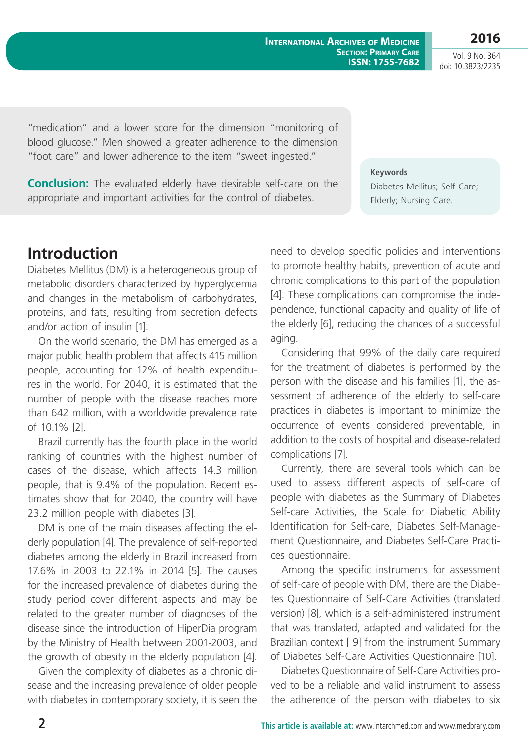**2016**

Vol. 9 No. 364 doi: 10.3823/2235

"medication" and a lower score for the dimension "monitoring of blood glucose." Men showed a greater adherence to the dimension "foot care" and lower adherence to the item "sweet ingested."

**Conclusion:** The evaluated elderly have desirable self-care on the appropriate and important activities for the control of diabetes.

**Keywords** Diabetes Mellitus; Self-Care; Elderly; Nursing Care.

## **Introduction**

Diabetes Mellitus (DM) is a heterogeneous group of metabolic disorders characterized by hyperglycemia and changes in the metabolism of carbohydrates, proteins, and fats, resulting from secretion defects and/or action of insulin [1].

On the world scenario, the DM has emerged as a major public health problem that affects 415 million people, accounting for 12% of health expenditures in the world. For 2040, it is estimated that the number of people with the disease reaches more than 642 million, with a worldwide prevalence rate of 10.1% [2].

Brazil currently has the fourth place in the world ranking of countries with the highest number of cases of the disease, which affects 14.3 million people, that is 9.4% of the population. Recent estimates show that for 2040, the country will have 23.2 million people with diabetes [3].

DM is one of the main diseases affecting the elderly population [4]. The prevalence of self-reported diabetes among the elderly in Brazil increased from 17.6% in 2003 to 22.1% in 2014 [5]. The causes for the increased prevalence of diabetes during the study period cover different aspects and may be related to the greater number of diagnoses of the disease since the introduction of HiperDia program by the Ministry of Health between 2001-2003, and the growth of obesity in the elderly population [4].

Given the complexity of diabetes as a chronic disease and the increasing prevalence of older people with diabetes in contemporary society, it is seen the need to develop specific policies and interventions to promote healthy habits, prevention of acute and chronic complications to this part of the population [4]. These complications can compromise the independence, functional capacity and quality of life of the elderly [6], reducing the chances of a successful aging.

Considering that 99% of the daily care required for the treatment of diabetes is performed by the person with the disease and his families [1], the assessment of adherence of the elderly to self-care practices in diabetes is important to minimize the occurrence of events considered preventable, in addition to the costs of hospital and disease-related complications [7].

Currently, there are several tools which can be used to assess different aspects of self-care of people with diabetes as the Summary of Diabetes Self-care Activities, the Scale for Diabetic Ability Identification for Self-care, Diabetes Self-Management Questionnaire, and Diabetes Self-Care Practices questionnaire.

Among the specific instruments for assessment of self-care of people with DM, there are the Diabetes Questionnaire of Self-Care Activities (translated version) [8], which is a self-administered instrument that was translated, adapted and validated for the Brazilian context [ 9] from the instrument Summary of Diabetes Self-Care Activities Questionnaire [10].

Diabetes Questionnaire of Self-Care Activities proved to be a reliable and valid instrument to assess the adherence of the person with diabetes to six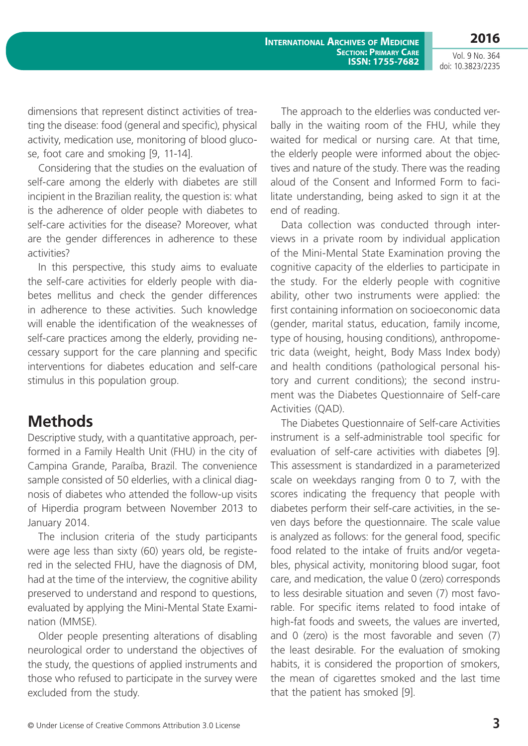Vol. 9 No. 364 doi: 10.3823/2235

**2016**

dimensions that represent distinct activities of treating the disease: food (general and specific), physical activity, medication use, monitoring of blood glucose, foot care and smoking [9, 11-14].

Considering that the studies on the evaluation of self-care among the elderly with diabetes are still incipient in the Brazilian reality, the question is: what is the adherence of older people with diabetes to self-care activities for the disease? Moreover, what are the gender differences in adherence to these activities?

In this perspective, this study aims to evaluate the self-care activities for elderly people with diabetes mellitus and check the gender differences in adherence to these activities. Such knowledge will enable the identification of the weaknesses of self-care practices among the elderly, providing necessary support for the care planning and specific interventions for diabetes education and self-care stimulus in this population group.

### **Methods**

Descriptive study, with a quantitative approach, performed in a Family Health Unit (FHU) in the city of Campina Grande, Paraíba, Brazil. The convenience sample consisted of 50 elderlies, with a clinical diagnosis of diabetes who attended the follow-up visits of Hiperdia program between November 2013 to January 2014.

The inclusion criteria of the study participants were age less than sixty (60) years old, be registered in the selected FHU, have the diagnosis of DM, had at the time of the interview, the cognitive ability preserved to understand and respond to questions, evaluated by applying the Mini-Mental State Examination (MMSE).

Older people presenting alterations of disabling neurological order to understand the objectives of the study, the questions of applied instruments and those who refused to participate in the survey were excluded from the study.

The approach to the elderlies was conducted verbally in the waiting room of the FHU, while they waited for medical or nursing care. At that time, the elderly people were informed about the objectives and nature of the study. There was the reading aloud of the Consent and Informed Form to facilitate understanding, being asked to sign it at the end of reading.

Data collection was conducted through interviews in a private room by individual application of the Mini-Mental State Examination proving the cognitive capacity of the elderlies to participate in the study. For the elderly people with cognitive ability, other two instruments were applied: the first containing information on socioeconomic data (gender, marital status, education, family income, type of housing, housing conditions), anthropometric data (weight, height, Body Mass Index body) and health conditions (pathological personal history and current conditions); the second instrument was the Diabetes Questionnaire of Self-care Activities (QAD).

The Diabetes Questionnaire of Self-care Activities instrument is a self-administrable tool specific for evaluation of self-care activities with diabetes [9]. This assessment is standardized in a parameterized scale on weekdays ranging from 0 to 7, with the scores indicating the frequency that people with diabetes perform their self-care activities, in the seven days before the questionnaire. The scale value is analyzed as follows: for the general food, specific food related to the intake of fruits and/or vegetables, physical activity, monitoring blood sugar, foot care, and medication, the value 0 (zero) corresponds to less desirable situation and seven (7) most favorable. For specific items related to food intake of high-fat foods and sweets, the values are inverted, and 0 (zero) is the most favorable and seven (7) the least desirable. For the evaluation of smoking habits, it is considered the proportion of smokers, the mean of cigarettes smoked and the last time that the patient has smoked [9].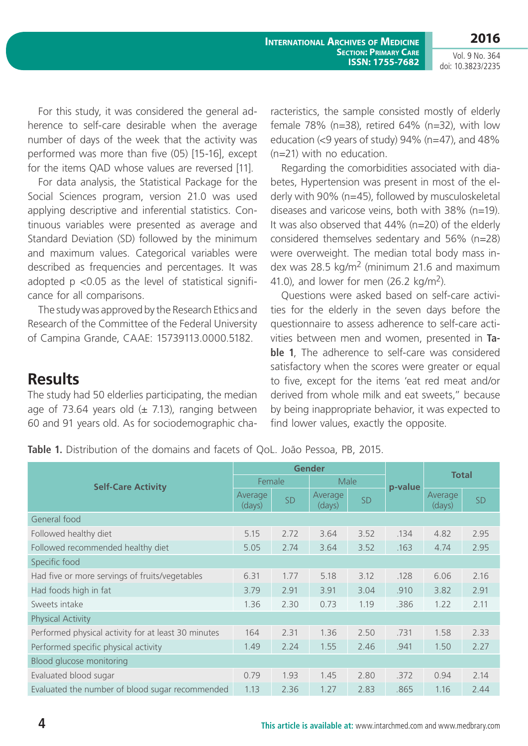**2016**

Vol. 9 No. 364 doi: 10.3823/2235

For this study, it was considered the general adherence to self-care desirable when the average number of days of the week that the activity was performed was more than five (05) [15-16], except for the items QAD whose values are reversed [11].

For data analysis, the Statistical Package for the Social Sciences program, version 21.0 was used applying descriptive and inferential statistics. Continuous variables were presented as average and Standard Deviation (SD) followed by the minimum and maximum values. Categorical variables were described as frequencies and percentages. It was adopted  $p$  <0.05 as the level of statistical significance for all comparisons.

The study was approved by the Research Ethics and Research of the Committee of the Federal University of Campina Grande, CAAE: 15739113.0000.5182.

The study had 50 elderlies participating, the median age of 73.64 years old  $(\pm 7.13)$ , ranging between 60 and 91 years old. As for sociodemographic cha-

### racteristics, the sample consisted mostly of elderly female 78% (n=38), retired 64% (n=32), with low education (<9 years of study) 94% (n=47), and 48% (n=21) with no education.

Regarding the comorbidities associated with diabetes, Hypertension was present in most of the elderly with 90% (n=45), followed by musculoskeletal diseases and varicose veins, both with 38% (n=19). It was also observed that 44% (n=20) of the elderly considered themselves sedentary and 56% (n=28) were overweight. The median total body mass index was 28.5 kg/m<sup>2</sup> (minimum 21.6 and maximum 41.0), and lower for men  $(26.2 \text{ kg/m}^2)$ .

Questions were asked based on self-care activities for the elderly in the seven days before the questionnaire to assess adherence to self-care activities between men and women, presented in **Table 1**, The adherence to self-care was considered satisfactory when the scores were greater or equal to five, except for the items 'eat red meat and/or derived from whole milk and eat sweets," because by being inappropriate behavior, it was expected to find lower values, exactly the opposite.

**Table 1.** Distribution of the domains and facets of QoL. João Pessoa, PB, 2015.

| <b>Self-Care Activity</b>                           | <b>Gender</b>     |      |                   |      |         |                   |      |
|-----------------------------------------------------|-------------------|------|-------------------|------|---------|-------------------|------|
|                                                     | Female            |      | Male              |      | p-value | <b>Total</b>      |      |
|                                                     | Average<br>(days) | SD   | Average<br>(days) | SD   |         | Average<br>(days) | SD   |
| General food                                        |                   |      |                   |      |         |                   |      |
| Followed healthy diet                               | 5.15              | 2.72 | 3.64              | 3.52 | .134    | 4.82              | 2.95 |
| Followed recommended healthy diet                   | 5.05              | 2.74 | 3.64              | 3.52 | .163    | 4.74              | 2.95 |
| Specific food                                       |                   |      |                   |      |         |                   |      |
| Had five or more servings of fruits/vegetables      | 6.31              | 1.77 | 5.18              | 3.12 | .128    | 6.06              | 2.16 |
| Had foods high in fat                               | 3.79              | 2.91 | 3.91              | 3.04 | .910    | 3.82              | 2.91 |
| Sweets intake                                       | 1.36              | 2.30 | 0.73              | 1.19 | .386    | 1.22              | 2.11 |
| Physical Activity                                   |                   |      |                   |      |         |                   |      |
| Performed physical activity for at least 30 minutes | 164               | 2.31 | 1.36              | 2.50 | .731    | 1.58              | 2.33 |
| Performed specific physical activity                | 1.49              | 2.24 | 1.55              | 2.46 | .941    | 1.50              | 2.27 |
| Blood glucose monitoring                            |                   |      |                   |      |         |                   |      |
| Evaluated blood sugar                               | 0.79              | 1.93 | 1.45              | 2.80 | .372    | 0.94              | 2.14 |
| Evaluated the number of blood sugar recommended     | 1.13              | 2.36 | 1.27              | 2.83 | .865    | 1.16              | 2.44 |

**Results**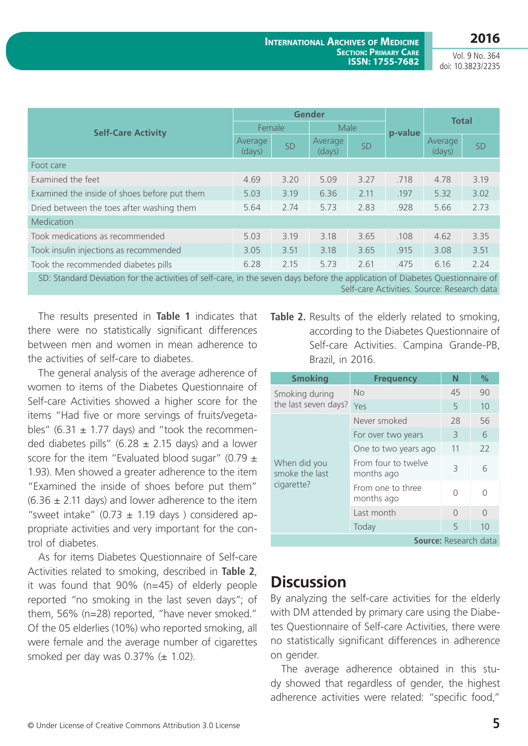**2016**

Vol. 9 No. 364 doi: 10.3823/2235

| <b>Self-Care Activity</b>                                                                                                                                                                                                      | <b>Gender</b>     |      |                   |           |         |                   |           |
|--------------------------------------------------------------------------------------------------------------------------------------------------------------------------------------------------------------------------------|-------------------|------|-------------------|-----------|---------|-------------------|-----------|
|                                                                                                                                                                                                                                | Female            |      | Male              |           | p-value | <b>Total</b>      |           |
|                                                                                                                                                                                                                                | Average<br>(days) | SD   | Average<br>(days) | <b>SD</b> |         | Average<br>(days) | <b>SD</b> |
| Foot care                                                                                                                                                                                                                      |                   |      |                   |           |         |                   |           |
| Examined the feet                                                                                                                                                                                                              | 4.69              | 3.20 | 5.09              | 3.27      | .718    | 4.78              | 3.19      |
| Examined the inside of shoes before put them                                                                                                                                                                                   | 5.03              | 3.19 | 6.36              | 2.11      | .197    | 5.32              | 3.02      |
| Dried between the toes after washing them                                                                                                                                                                                      | 5.64              | 2.74 | 5.73              | 2.83      | .928    | 5.66              | 2.73      |
| Medication                                                                                                                                                                                                                     |                   |      |                   |           |         |                   |           |
| Took medications as recommended                                                                                                                                                                                                | 5.03              | 3.19 | 3.18              | 3.65      | .108    | 4.62              | 3.35      |
| Took insulin injections as recommended                                                                                                                                                                                         | 3.05              | 3.51 | 3.18              | 3.65      | .915    | 3.08              | 3.51      |
| Took the recommended diabetes pills                                                                                                                                                                                            | 6.28              | 2.15 | 5.73              | 2.61      | .475    | 6.16              | 2.24      |
| concert in the full attack full that is in the district of the formulation and the formulation of the formulation of the formulation of the following the formulation of the following state of the following state of the fol |                   |      |                   |           |         |                   |           |

SD: Standard Deviation for the activities of self-care, in the seven days before the application of Diabetes Questionnaire of Self-care Activities. Source: Research data

The results presented in **Table 1** indicates that there were no statistically significant differences between men and women in mean adherence to the activities of self-care to diabetes.

The general analysis of the average adherence of women to items of the Diabetes Questionnaire of Self-care Activities showed a higher score for the items "Had five or more servings of fruits/vegetables" (6.31  $\pm$  1.77 days) and "took the recommended diabetes pills" (6.28  $\pm$  2.15 days) and a lower score for the item "Evaluated blood sugar" (0.79  $\pm$ 1.93). Men showed a greater adherence to the item "Examined the inside of shoes before put them"  $(6.36 \pm 2.11$  days) and lower adherence to the item "sweet intake"  $(0.73 \pm 1.19$  days) considered appropriate activities and very important for the control of diabetes.

As for items Diabetes Questionnaire of Self-care Activities related to smoking, described in **Table 2**, it was found that 90% (n=45) of elderly people reported "no smoking in the last seven days"; of them, 56% (n=28) reported, "have never smoked." Of the 05 elderlies (10%) who reported smoking, all were female and the average number of cigarettes smoked per day was  $0.37\%$  ( $\pm$  1.02).

**Table 2.** Results of the elderly related to smoking, according to the Diabetes Questionnaire of Self-care Activities. Campina Grande-PB, Brazil, in 2016.

| <b>Smoking</b>                               | <b>Frequency</b>                  | N         | $\%$   |  |  |
|----------------------------------------------|-----------------------------------|-----------|--------|--|--|
| Smoking during                               | No                                | 45        | 90     |  |  |
| the last seven days?                         | Yes                               | 5         | 10     |  |  |
| When did you<br>smoke the last<br>cigarette? | Never smoked                      | 28        | 56     |  |  |
|                                              | For over two years                | 3         | 6      |  |  |
|                                              | One to two years ago              | 11        | 22     |  |  |
|                                              | From four to twelve<br>months ago | 3         | 6      |  |  |
|                                              | From one to three<br>months ago   | Λ         |        |  |  |
|                                              | Last month                        | $\bigcap$ | $\cap$ |  |  |
|                                              | Today                             | 5         | 10     |  |  |
| <b>Source: Research data</b>                 |                                   |           |        |  |  |

### **Discussion**

By analyzing the self-care activities for the elderly with DM attended by primary care using the Diabetes Questionnaire of Self-care Activities, there were no statistically significant differences in adherence on gender.

The average adherence obtained in this study showed that regardless of gender, the highest adherence activities were related: "specific food,"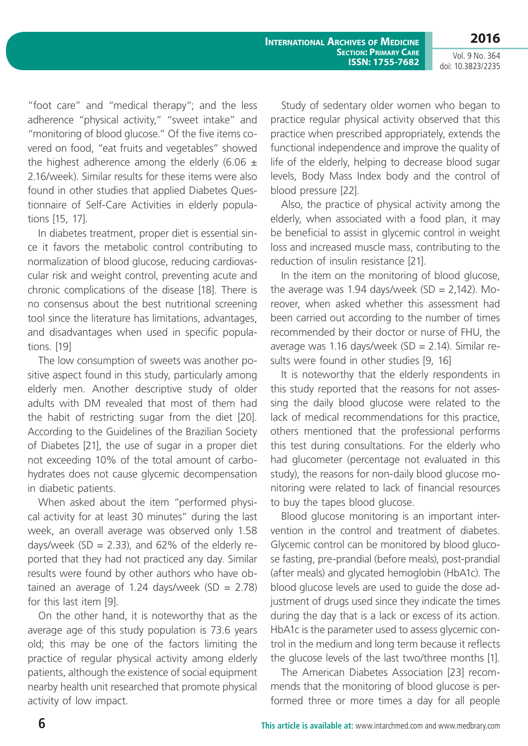Vol. 9 No. 364 doi: 10.3823/2235

**2016**

"foot care" and "medical therapy"; and the less adherence "physical activity," "sweet intake" and "monitoring of blood glucose." Of the five items covered on food, "eat fruits and vegetables" showed the highest adherence among the elderly (6.06  $\pm$ 2.16/week). Similar results for these items were also found in other studies that applied Diabetes Questionnaire of Self-Care Activities in elderly populations [15, 17].

In diabetes treatment, proper diet is essential since it favors the metabolic control contributing to normalization of blood glucose, reducing cardiovascular risk and weight control, preventing acute and chronic complications of the disease [18]. There is no consensus about the best nutritional screening tool since the literature has limitations, advantages, and disadvantages when used in specific populations. [19]

The low consumption of sweets was another positive aspect found in this study, particularly among elderly men. Another descriptive study of older adults with DM revealed that most of them had the habit of restricting sugar from the diet [20]. According to the Guidelines of the Brazilian Society of Diabetes [21], the use of sugar in a proper diet not exceeding 10% of the total amount of carbohydrates does not cause glycemic decompensation in diabetic patients.

When asked about the item "performed physical activity for at least 30 minutes" during the last week, an overall average was observed only 1.58 days/week (SD = 2.33), and 62% of the elderly reported that they had not practiced any day. Similar results were found by other authors who have obtained an average of 1.24 days/week  $(SD = 2.78)$ for this last item [9].

On the other hand, it is noteworthy that as the average age of this study population is 73.6 years old; this may be one of the factors limiting the practice of regular physical activity among elderly patients, although the existence of social equipment nearby health unit researched that promote physical activity of low impact.

Study of sedentary older women who began to practice regular physical activity observed that this practice when prescribed appropriately, extends the functional independence and improve the quality of life of the elderly, helping to decrease blood sugar levels, Body Mass Index body and the control of blood pressure [22].

Also, the practice of physical activity among the elderly, when associated with a food plan, it may be beneficial to assist in glycemic control in weight loss and increased muscle mass, contributing to the reduction of insulin resistance [21].

In the item on the monitoring of blood glucose, the average was 1.94 days/week  $(SD = 2,142)$ . Moreover, when asked whether this assessment had been carried out according to the number of times recommended by their doctor or nurse of FHU, the average was 1.16 days/week (SD = 2.14). Similar results were found in other studies [9, 16]

It is noteworthy that the elderly respondents in this study reported that the reasons for not assessing the daily blood glucose were related to the lack of medical recommendations for this practice, others mentioned that the professional performs this test during consultations. For the elderly who had glucometer (percentage not evaluated in this study), the reasons for non-daily blood glucose monitoring were related to lack of financial resources to buy the tapes blood glucose.

Blood glucose monitoring is an important intervention in the control and treatment of diabetes. Glycemic control can be monitored by blood glucose fasting, pre-prandial (before meals), post-prandial (after meals) and glycated hemoglobin (HbA1c). The blood glucose levels are used to guide the dose adjustment of drugs used since they indicate the times during the day that is a lack or excess of its action. HbA1c is the parameter used to assess glycemic control in the medium and long term because it reflects the glucose levels of the last two/three months [1].

The American Diabetes Association [23] recommends that the monitoring of blood glucose is performed three or more times a day for all people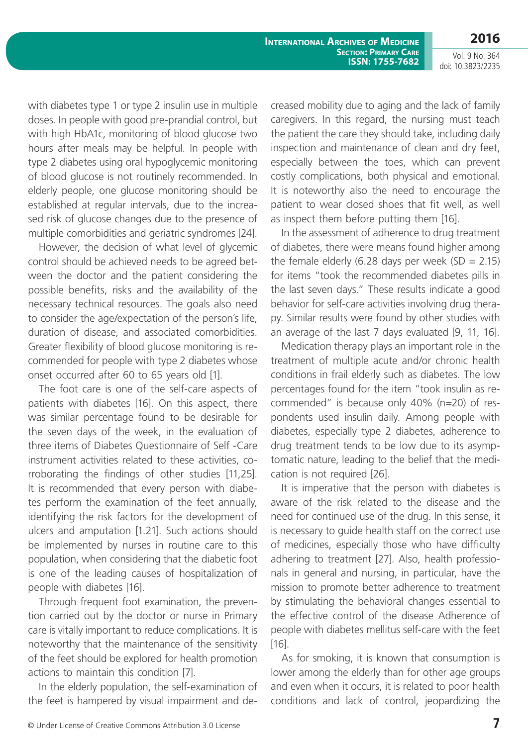**2016**

Vol. 9 No. 364 doi: 10.3823/2235

with diabetes type 1 or type 2 insulin use in multiple doses. In people with good pre-prandial control, but with high HbA1c, monitoring of blood glucose two hours after meals may be helpful. In people with type 2 diabetes using oral hypoglycemic monitoring of blood glucose is not routinely recommended. In elderly people, one glucose monitoring should be established at regular intervals, due to the increased risk of glucose changes due to the presence of multiple comorbidities and geriatric syndromes [24].

However, the decision of what level of glycemic control should be achieved needs to be agreed between the doctor and the patient considering the possible benefits, risks and the availability of the necessary technical resources. The goals also need to consider the age/expectation of the person´s life, duration of disease, and associated comorbidities. Greater flexibility of blood glucose monitoring is recommended for people with type 2 diabetes whose onset occurred after 60 to 65 years old [1].

The foot care is one of the self-care aspects of patients with diabetes [16]. On this aspect, there was similar percentage found to be desirable for the seven days of the week, in the evaluation of three items of Diabetes Questionnaire of Self -Care instrument activities related to these activities, corroborating the findings of other studies [11,25]. It is recommended that every person with diabetes perform the examination of the feet annually, identifying the risk factors for the development of ulcers and amputation [1.21]. Such actions should be implemented by nurses in routine care to this population, when considering that the diabetic foot is one of the leading causes of hospitalization of people with diabetes [16].

Through frequent foot examination, the prevention carried out by the doctor or nurse in Primary care is vitally important to reduce complications. It is noteworthy that the maintenance of the sensitivity of the feet should be explored for health promotion actions to maintain this condition [7].

In the elderly population, the self-examination of the feet is hampered by visual impairment and decreased mobility due to aging and the lack of family caregivers. In this regard, the nursing must teach the patient the care they should take, including daily inspection and maintenance of clean and dry feet, especially between the toes, which can prevent costly complications, both physical and emotional. It is noteworthy also the need to encourage the patient to wear closed shoes that fit well, as well as inspect them before putting them [16].

In the assessment of adherence to drug treatment of diabetes, there were means found higher among the female elderly (6.28 days per week (SD =  $2.15$ ) for items "took the recommended diabetes pills in the last seven days." These results indicate a good behavior for self-care activities involving drug therapy. Similar results were found by other studies with an average of the last 7 days evaluated [9, 11, 16].

Medication therapy plays an important role in the treatment of multiple acute and/or chronic health conditions in frail elderly such as diabetes. The low percentages found for the item "took insulin as recommended" is because only 40% (n=20) of respondents used insulin daily. Among people with diabetes, especially type 2 diabetes, adherence to drug treatment tends to be low due to its asymptomatic nature, leading to the belief that the medication is not required [26].

It is imperative that the person with diabetes is aware of the risk related to the disease and the need for continued use of the drug. In this sense, it is necessary to guide health staff on the correct use of medicines, especially those who have difficulty adhering to treatment [27]. Also, health professionals in general and nursing, in particular, have the mission to promote better adherence to treatment by stimulating the behavioral changes essential to the effective control of the disease Adherence of people with diabetes mellitus self-care with the feet [16].

As for smoking, it is known that consumption is lower among the elderly than for other age groups and even when it occurs, it is related to poor health conditions and lack of control, jeopardizing the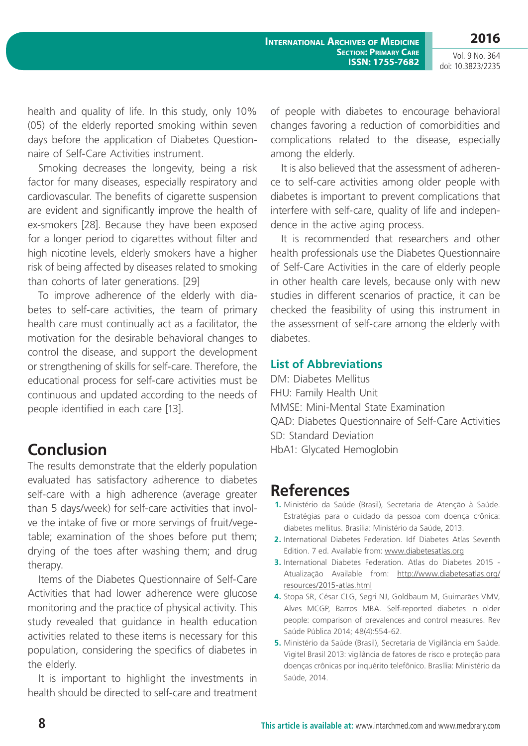Vol. 9 No. 364 doi: 10.3823/2235

health and quality of life. In this study, only 10% (05) of the elderly reported smoking within seven days before the application of Diabetes Questionnaire of Self-Care Activities instrument.

Smoking decreases the longevity, being a risk factor for many diseases, especially respiratory and cardiovascular. The benefits of cigarette suspension are evident and significantly improve the health of ex-smokers [28]. Because they have been exposed for a longer period to cigarettes without filter and high nicotine levels, elderly smokers have a higher risk of being affected by diseases related to smoking than cohorts of later generations. [29]

To improve adherence of the elderly with diabetes to self-care activities, the team of primary health care must continually act as a facilitator, the motivation for the desirable behavioral changes to control the disease, and support the development or strengthening of skills for self-care. Therefore, the educational process for self-care activities must be continuous and updated according to the needs of people identified in each care [13].

## **Conclusion**

The results demonstrate that the elderly population evaluated has satisfactory adherence to diabetes self-care with a high adherence (average greater than 5 days/week) for self-care activities that involve the intake of five or more servings of fruit/vegetable; examination of the shoes before put them; drying of the toes after washing them; and drug therapy.

Items of the Diabetes Questionnaire of Self-Care Activities that had lower adherence were glucose monitoring and the practice of physical activity. This study revealed that guidance in health education activities related to these items is necessary for this population, considering the specifics of diabetes in the elderly.

It is important to highlight the investments in health should be directed to self-care and treatment of people with diabetes to encourage behavioral changes favoring a reduction of comorbidities and complications related to the disease, especially among the elderly.

It is also believed that the assessment of adherence to self-care activities among older people with diabetes is important to prevent complications that interfere with self-care, quality of life and independence in the active aging process.

It is recommended that researchers and other health professionals use the Diabetes Questionnaire of Self-Care Activities in the care of elderly people in other health care levels, because only with new studies in different scenarios of practice, it can be checked the feasibility of using this instrument in the assessment of self-care among the elderly with diabetes.

### **List of Abbreviations**

DM: Diabetes Mellitus FHU: Family Health Unit MMSE: Mini-Mental State Examination QAD: Diabetes Questionnaire of Self-Care Activities SD: Standard Deviation HbA1: Glycated Hemoglobin

### **References**

- **1.** Ministério da Saúde (Brasil), Secretaria de Atenção à Saúde. Estratégias para o cuidado da pessoa com doença crônica: diabetes mellitus. Brasília: Ministério da Saúde, 2013.
- **2.** International Diabetes Federation. Idf Diabetes Atlas Seventh Edition. 7 ed. Available from:<www.diabetesatlas.org>
- **3.** International Diabetes Federation. Atlas do Diabetes 2015 Atualização Available from: [http://www.diabetesatlas.org/](http://www.diabetesatlas.org/resources/2015-atlas.html) [resources/2015-atlas.html](http://www.diabetesatlas.org/resources/2015-atlas.html)
- **4.** Stopa SR, César CLG, Segri NJ, Goldbaum M, Guimarães VMV, Alves MCGP, Barros MBA. Self-reported diabetes in older people: comparison of prevalences and control measures. Rev Saúde Pública 2014; 48(4):554-62.
- **5.** Ministério da Saúde (Brasil), Secretaria de Vigilância em Saúde. Vigitel Brasil 2013: vigilância de fatores de risco e proteção para doenças crônicas por inquérito telefônico. Brasília: Ministério da Saúde, 2014.